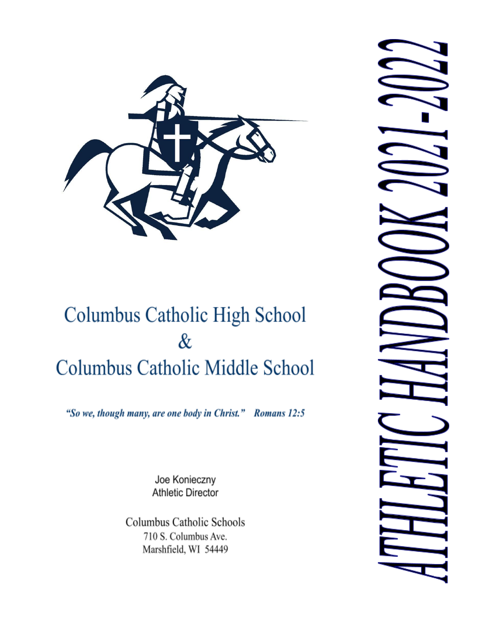

# Columbus Catholic High School  $\&$ **Columbus Catholic Middle School**

"So we, though many, are one body in Christ." Romans 12:5

Joe Konieczny **Athletic Director** 

Columbus Catholic Schools 710 S. Columbus Ave. Marshfield, WI 54449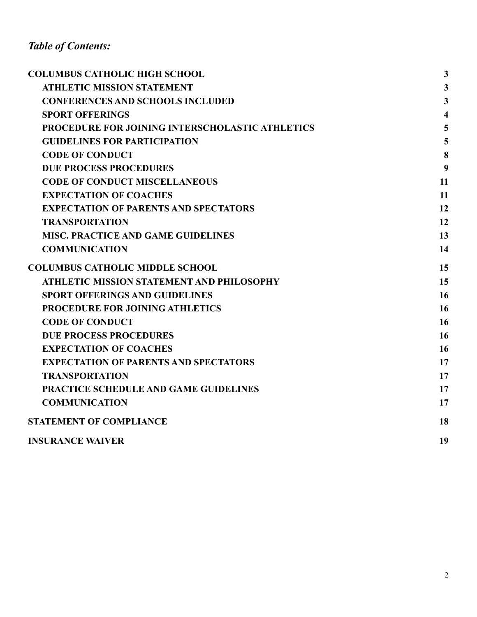# *Table of Contents:*

| <b>COLUMBUS CATHOLIC HIGH SCHOOL</b>             | $\overline{\mathbf{3}}$ |
|--------------------------------------------------|-------------------------|
| <b>ATHLETIC MISSION STATEMENT</b>                | $\mathbf{3}$            |
| <b>CONFERENCES AND SCHOOLS INCLUDED</b>          | $\overline{\mathbf{3}}$ |
| <b>SPORT OFFERINGS</b>                           | $\overline{\mathbf{4}}$ |
| PROCEDURE FOR JOINING INTERSCHOLASTIC ATHLETICS  | 5                       |
| <b>GUIDELINES FOR PARTICIPATION</b>              | 5                       |
| <b>CODE OF CONDUCT</b>                           | 8                       |
| <b>DUE PROCESS PROCEDURES</b>                    | 9                       |
| <b>CODE OF CONDUCT MISCELLANEOUS</b>             | 11                      |
| <b>EXPECTATION OF COACHES</b>                    | 11                      |
| <b>EXPECTATION OF PARENTS AND SPECTATORS</b>     | 12                      |
| <b>TRANSPORTATION</b>                            | 12                      |
| <b>MISC. PRACTICE AND GAME GUIDELINES</b>        | 13                      |
| <b>COMMUNICATION</b>                             | 14                      |
| <b>COLUMBUS CATHOLIC MIDDLE SCHOOL</b>           | 15                      |
| <b>ATHLETIC MISSION STATEMENT AND PHILOSOPHY</b> | 15                      |
| <b>SPORT OFFERINGS AND GUIDELINES</b>            | 16                      |
| PROCEDURE FOR JOINING ATHLETICS                  | 16                      |
| <b>CODE OF CONDUCT</b>                           | 16                      |
| <b>DUE PROCESS PROCEDURES</b>                    | 16                      |
| <b>EXPECTATION OF COACHES</b>                    | 16                      |
| <b>EXPECTATION OF PARENTS AND SPECTATORS</b>     | 17                      |
| <b>TRANSPORTATION</b>                            | 17                      |
| PRACTICE SCHEDULE AND GAME GUIDELINES            | 17                      |
| <b>COMMUNICATION</b>                             | 17                      |
| <b>STATEMENT OF COMPLIANCE</b>                   | 18                      |
| <b>INSURANCE WAIVER</b>                          | 19                      |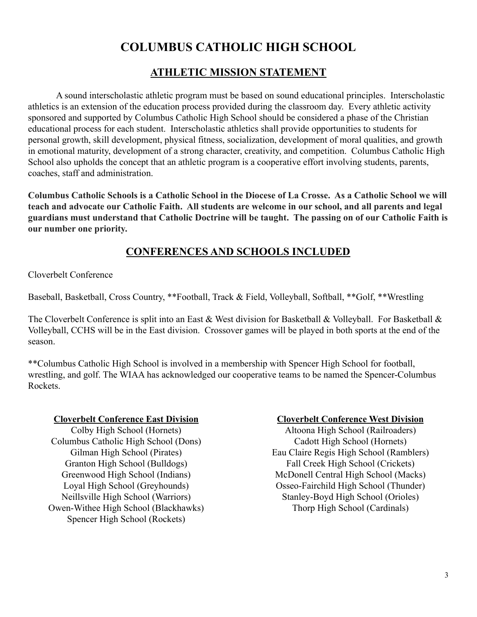# **COLUMBUS CATHOLIC HIGH SCHOOL**

# **ATHLETIC MISSION STATEMENT**

<span id="page-2-0"></span>A sound interscholastic athletic program must be based on sound educational principles. Interscholastic athletics is an extension of the education process provided during the classroom day. Every athletic activity sponsored and supported by Columbus Catholic High School should be considered a phase of the Christian educational process for each student. Interscholastic athletics shall provide opportunities to students for personal growth, skill development, physical fitness, socialization, development of moral qualities, and growth in emotional maturity, development of a strong character, creativity, and competition. Columbus Catholic High School also upholds the concept that an athletic program is a cooperative effort involving students, parents, coaches, staff and administration.

**Columbus Catholic Schools is a Catholic School in the Diocese of La Crosse. As a Catholic School we will teach and advocate our Catholic Faith. All students are welcome in our school, and all parents and legal guardians must understand that Catholic Doctrine will be taught. The passing on of our Catholic Faith is our number one priority.**

# **CONFERENCES AND SCHOOLS INCLUDED**

Cloverbelt Conference

Baseball, Basketball, Cross Country, \*\*Football, Track & Field, Volleyball, Softball, \*\*Golf, \*\*Wrestling

The Cloverbelt Conference is split into an East & West division for Basketball & Volleyball. For Basketball & Volleyball, CCHS will be in the East division. Crossover games will be played in both sports at the end of the season.

\*\*Columbus Catholic High School is involved in a membership with Spencer High School for football, wrestling, and golf. The WIAA has acknowledged our cooperative teams to be named the Spencer-Columbus Rockets.

#### **Cloverbelt Conference East Division**

Colby High School (Hornets) Columbus Catholic High School (Dons) Gilman High School (Pirates) Granton High School (Bulldogs) Greenwood High School (Indians) Loyal High School (Greyhounds) Neillsville High School (Warriors) Owen-Withee High School (Blackhawks) Spencer High School (Rockets)

#### **Cloverbelt Conference West Division**

Altoona High School (Railroaders) Cadott High School (Hornets) Eau Claire Regis High School (Ramblers) Fall Creek High School (Crickets) McDonell Central High School (Macks) Osseo-Fairchild High School (Thunder) Stanley-Boyd High School (Orioles) Thorp High School (Cardinals)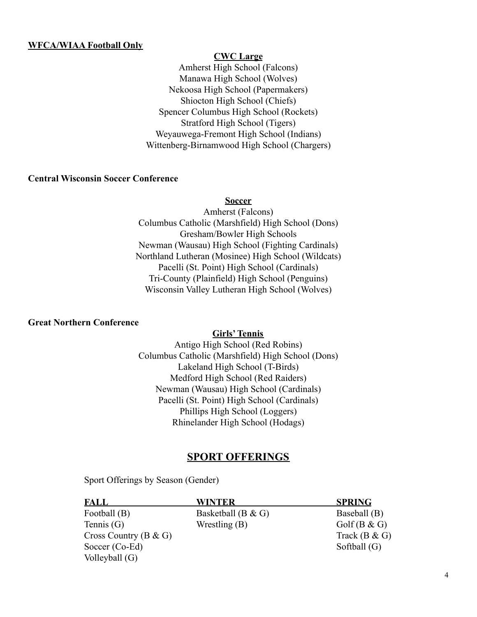#### **WFCA/WIAA Football Only**

#### **CWC Large**

Amherst High School (Falcons) Manawa High School (Wolves) Nekoosa High School (Papermakers) Shiocton High School (Chiefs) Spencer Columbus High School (Rockets) Stratford High School (Tigers) Weyauwega-Fremont High School (Indians) Wittenberg-Birnamwood High School (Chargers)

#### **Central Wisconsin Soccer Conference**

#### **Soccer**

Amherst (Falcons) Columbus Catholic (Marshfield) High School (Dons) Gresham/Bowler High Schools Newman (Wausau) High School (Fighting Cardinals) Northland Lutheran (Mosinee) High School (Wildcats) Pacelli (St. Point) High School (Cardinals) Tri-County (Plainfield) High School (Penguins) Wisconsin Valley Lutheran High School (Wolves)

#### **Great Northern Conference**

#### **Girls'Tennis**

Antigo High School (Red Robins) Columbus Catholic (Marshfield) High School (Dons) Lakeland High School (T-Birds) Medford High School (Red Raiders) Newman (Wausau) High School (Cardinals) Pacelli (St. Point) High School (Cardinals) Phillips High School (Loggers) Rhinelander High School (Hodags)

#### **SPORT OFFERINGS**

Sport Offerings by Season (Gender)

| FALL                      | WINTER                | <b>SPRING</b>   |
|---------------------------|-----------------------|-----------------|
| Football (B)              | Basketball (B $\&$ G) | Baseball (B)    |
| Tennis $(G)$              | Wrestling $(B)$       | Golf(B & G)     |
| Cross Country ( $B & G$ ) |                       | Track $(B & G)$ |
| Soccer $(Co-Ed)$          |                       | Softball $(G)$  |
| Volleyball $(G)$          |                       |                 |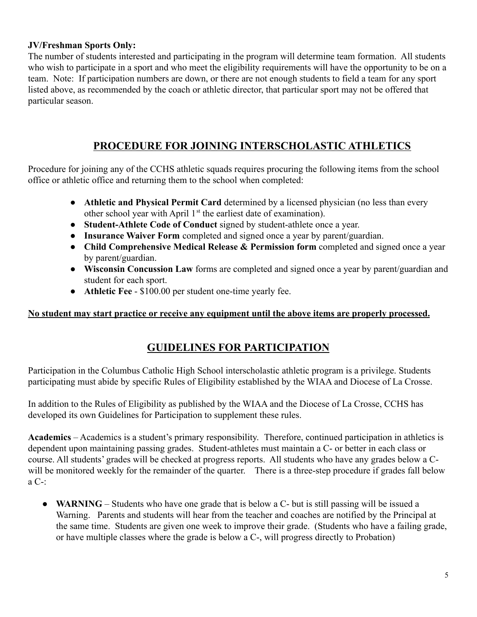#### **JV/Freshman Sports Only:**

The number of students interested and participating in the program will determine team formation. All students who wish to participate in a sport and who meet the eligibility requirements will have the opportunity to be on a team. Note: If participation numbers are down, or there are not enough students to field a team for any sport listed above, as recommended by the coach or athletic director, that particular sport may not be offered that particular season.

# **PROCEDURE FOR JOINING INTERSCHOLASTIC ATHLETICS**

Procedure for joining any of the CCHS athletic squads requires procuring the following items from the school office or athletic office and returning them to the school when completed:

- **Athletic and Physical Permit Card** determined by a licensed physician (no less than every other school year with April 1<sup>st</sup> the earliest date of examination).
- **Student-Athlete Code of Conduct** signed by student-athlete once a year.
- **Insurance Waiver Form** completed and signed once a year by parent/guardian.
- **Child Comprehensive Medical Release & Permission form** completed and signed once a year by parent/guardian.
- **Wisconsin Concussion Law** forms are completed and signed once a year by parent/guardian and student for each sport.
- **Athletic Fee** \$100.00 per student one-time yearly fee.

#### **No student may start practice or receive any equipment until the above items are properly processed.**

## **GUIDELINES FOR PARTICIPATION**

Participation in the Columbus Catholic High School interscholastic athletic program is a privilege. Students participating must abide by specific Rules of Eligibility established by the WIAA and Diocese of La Crosse.

In addition to the Rules of Eligibility as published by the WIAA and the Diocese of La Crosse, CCHS has developed its own Guidelines for Participation to supplement these rules.

**Academics** – Academics is a student's primary responsibility. Therefore, continued participation in athletics is dependent upon maintaining passing grades. Student-athletes must maintain a C- or better in each class or course. All students' grades will be checked at progress reports. All students who have any grades below a Cwill be monitored weekly for the remainder of the quarter. There is a three-step procedure if grades fall below a C-:

• **WARNING** – Students who have one grade that is below a C- but is still passing will be issued a Warning. Parents and students will hear from the teacher and coaches are notified by the Principal at the same time. Students are given one week to improve their grade. (Students who have a failing grade, or have multiple classes where the grade is below a C-, will progress directly to Probation)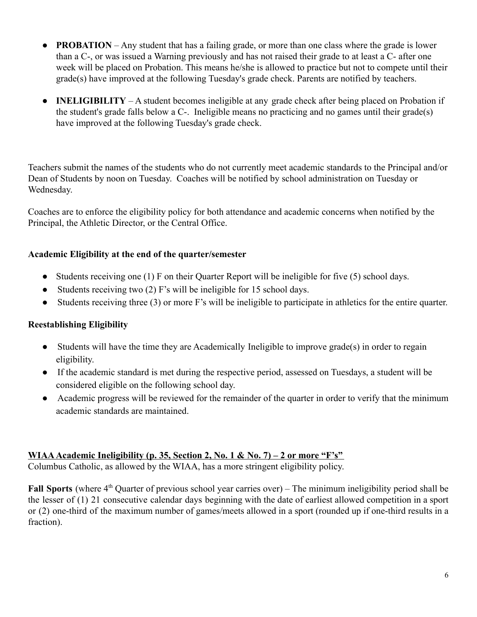- **PROBATION** Any student that has a failing grade, or more than one class where the grade is lower than a C-, or was issued a Warning previously and has not raised their grade to at least a C- after one week will be placed on Probation. This means he/she is allowed to practice but not to compete until their grade(s) have improved at the following Tuesday's grade check. Parents are notified by teachers.
- **INELIGIBILITY** A student becomes ineligible at any grade check after being placed on Probation if the student's grade falls below a C-. Ineligible means no practicing and no games until their grade(s) have improved at the following Tuesday's grade check.

Teachers submit the names of the students who do not currently meet academic standards to the Principal and/or Dean of Students by noon on Tuesday. Coaches will be notified by school administration on Tuesday or Wednesday.

Coaches are to enforce the eligibility policy for both attendance and academic concerns when notified by the Principal, the Athletic Director, or the Central Office.

#### **Academic Eligibility at the end of the quarter/semester**

- Students receiving one (1) F on their Quarter Report will be ineligible for five (5) school days.
- Students receiving two (2) F's will be ineligible for 15 school days.
- Students receiving three (3) or more F's will be ineligible to participate in athletics for the entire quarter.

## **Reestablishing Eligibility**

- Students will have the time they are Academically Ineligible to improve grade(s) in order to regain eligibility.
- If the academic standard is met during the respective period, assessed on Tuesdays, a student will be considered eligible on the following school day.
- Academic progress will be reviewed for the remainder of the quarter in order to verify that the minimum academic standards are maintained.

#### **WIAA Academic Ineligibility (p. 35, Section 2, No. 1 & No. 7) – 2 or more "F's"**

Columbus Catholic, as allowed by the WIAA, has a more stringent eligibility policy.

Fall Sports (where 4<sup>th</sup> Quarter of previous school year carries over) – The minimum ineligibility period shall be the lesser of (1) 21 consecutive calendar days beginning with the date of earliest allowed competition in a sport or (2) one-third of the maximum number of games/meets allowed in a sport (rounded up if one-third results in a fraction).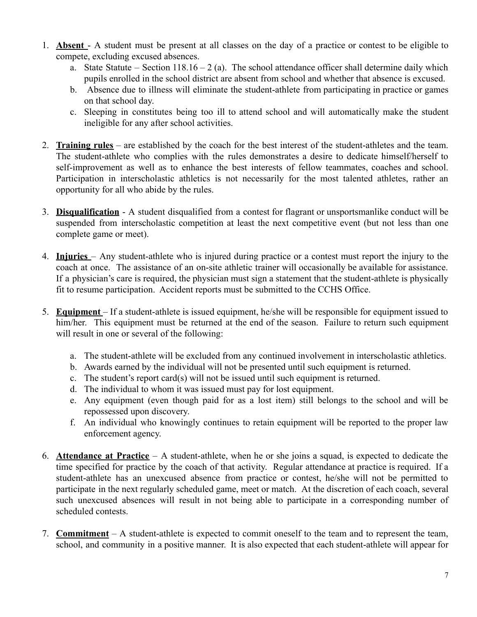- 1. **Absent** A student must be present at all classes on the day of a practice or contest to be eligible to compete, excluding excused absences.
	- a. State Statute Section  $118.16 2$  (a). The school attendance officer shall determine daily which pupils enrolled in the school district are absent from school and whether that absence is excused.
	- b. Absence due to illness will eliminate the student-athlete from participating in practice or games on that school day.
	- c. Sleeping in constitutes being too ill to attend school and will automatically make the student ineligible for any after school activities.
- 2. **Training rules** are established by the coach for the best interest of the student-athletes and the team. The student-athlete who complies with the rules demonstrates a desire to dedicate himself/herself to self-improvement as well as to enhance the best interests of fellow teammates, coaches and school. Participation in interscholastic athletics is not necessarily for the most talented athletes, rather an opportunity for all who abide by the rules.
- 3. **Disqualification** A student disqualified from a contest for flagrant or unsportsmanlike conduct will be suspended from interscholastic competition at least the next competitive event (but not less than one complete game or meet).
- 4. **Injuries** Any student-athlete who is injured during practice or a contest must report the injury to the coach at once. The assistance of an on-site athletic trainer will occasionally be available for assistance. If a physician's care is required, the physician must sign a statement that the student-athlete is physically fit to resume participation. Accident reports must be submitted to the CCHS Office.
- 5. **Equipment** If a student-athlete is issued equipment, he/she will be responsible for equipment issued to him/her. This equipment must be returned at the end of the season. Failure to return such equipment will result in one or several of the following:
	- a. The student-athlete will be excluded from any continued involvement in interscholastic athletics.
	- b. Awards earned by the individual will not be presented until such equipment is returned.
	- c. The student's report card(s) will not be issued until such equipment is returned.
	- d. The individual to whom it was issued must pay for lost equipment.
	- e. Any equipment (even though paid for as a lost item) still belongs to the school and will be repossessed upon discovery.
	- f. An individual who knowingly continues to retain equipment will be reported to the proper law enforcement agency.
- 6. **Attendance at Practice** A student-athlete, when he or she joins a squad, is expected to dedicate the time specified for practice by the coach of that activity. Regular attendance at practice is required. If a student-athlete has an unexcused absence from practice or contest, he/she will not be permitted to participate in the next regularly scheduled game, meet or match. At the discretion of each coach, several such unexcused absences will result in not being able to participate in a corresponding number of scheduled contests.
- 7. **Commitment** A student-athlete is expected to commit oneself to the team and to represent the team, school, and community in a positive manner. It is also expected that each student-athlete will appear for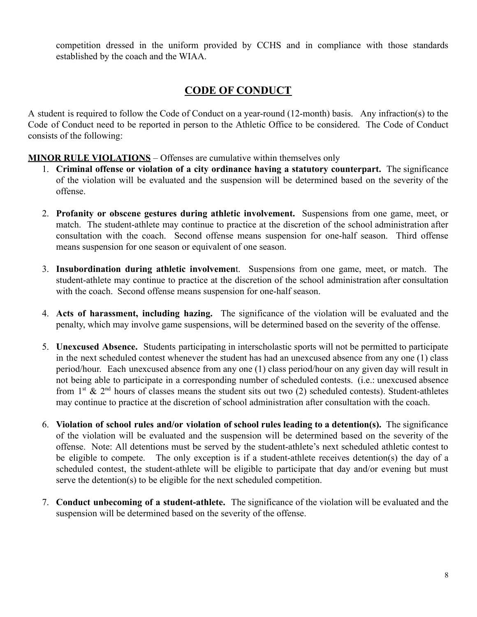competition dressed in the uniform provided by CCHS and in compliance with those standards established by the coach and the WIAA.

## **CODE OF CONDUCT**

A student is required to follow the Code of Conduct on a year-round (12-month) basis. Any infraction(s) to the Code of Conduct need to be reported in person to the Athletic Office to be considered. The Code of Conduct consists of the following:

#### **MINOR RULE VIOLATIONS** – Offenses are cumulative within themselves only

- 1. **Criminal offense or violation of a city ordinance having a statutory counterpart.** The significance of the violation will be evaluated and the suspension will be determined based on the severity of the offense.
- 2. **Profanity or obscene gestures during athletic involvement.** Suspensions from one game, meet, or match. The student-athlete may continue to practice at the discretion of the school administration after consultation with the coach. Second offense means suspension for one-half season. Third offense means suspension for one season or equivalent of one season.
- 3. **Insubordination during athletic involvemen**t. Suspensions from one game, meet, or match. The student-athlete may continue to practice at the discretion of the school administration after consultation with the coach. Second offense means suspension for one-half season.
- 4. **Acts of harassment, including hazing.** The significance of the violation will be evaluated and the penalty, which may involve game suspensions, will be determined based on the severity of the offense.
- 5. **Unexcused Absence.** Students participating in interscholastic sports will not be permitted to participate in the next scheduled contest whenever the student has had an unexcused absence from any one (1) class period/hour. Each unexcused absence from any one (1) class period/hour on any given day will result in not being able to participate in a corresponding number of scheduled contests. (i.e.: unexcused absence from  $1<sup>st</sup>$  &  $2<sup>nd</sup>$  hours of classes means the student sits out two (2) scheduled contests). Student-athletes may continue to practice at the discretion of school administration after consultation with the coach.
- 6. **Violation of school rules and/or violation of school rules leading to a detention(s).** The significance of the violation will be evaluated and the suspension will be determined based on the severity of the offense. Note: All detentions must be served by the student-athlete's next scheduled athletic contest to be eligible to compete. The only exception is if a student-athlete receives detention(s) the day of a scheduled contest, the student-athlete will be eligible to participate that day and/or evening but must serve the detention(s) to be eligible for the next scheduled competition.
- 7. **Conduct unbecoming of a student-athlete.** The significance of the violation will be evaluated and the suspension will be determined based on the severity of the offense.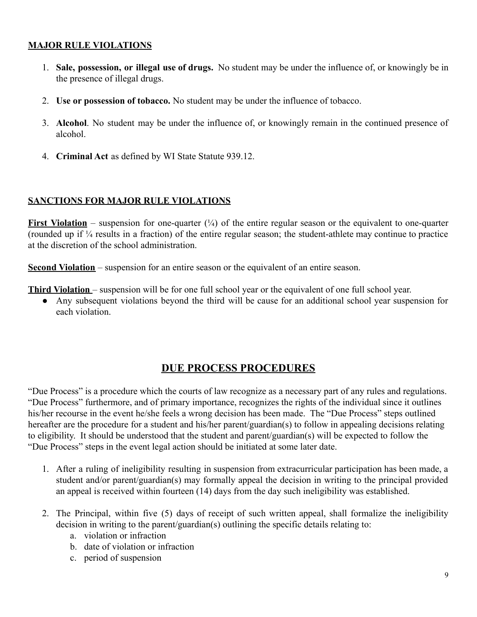#### **MAJOR RULE VIOLATIONS**

- 1. **Sale, possession, or illegal use of drugs.** No student may be under the influence of, or knowingly be in the presence of illegal drugs.
- 2. **Use or possession of tobacco.** No student may be under the influence of tobacco.
- 3. **Alcohol**. No student may be under the influence of, or knowingly remain in the continued presence of alcohol.
- 4. **Criminal Act** as defined by WI State Statute 939.12.

#### **SANCTIONS FOR MAJOR RULE VIOLATIONS**

**First Violation** – suspension for one-quarter  $\binom{1}{4}$  of the entire regular season or the equivalent to one-quarter (rounded up if ¼ results in a fraction) of the entire regular season; the student-athlete may continue to practice at the discretion of the school administration.

**Second Violation** – suspension for an entire season or the equivalent of an entire season.

**Third Violation** – suspension will be for one full school year or the equivalent of one full school year.

● Any subsequent violations beyond the third will be cause for an additional school year suspension for each violation.

# **DUE PROCESS PROCEDURES**

"Due Process" is a procedure which the courts of law recognize as a necessary part of any rules and regulations. "Due Process" furthermore, and of primary importance, recognizes the rights of the individual since it outlines his/her recourse in the event he/she feels a wrong decision has been made. The "Due Process" steps outlined hereafter are the procedure for a student and his/her parent/guardian(s) to follow in appealing decisions relating to eligibility. It should be understood that the student and parent/guardian(s) will be expected to follow the "Due Process" steps in the event legal action should be initiated at some later date.

- 1. After a ruling of ineligibility resulting in suspension from extracurricular participation has been made, a student and/or parent/guardian(s) may formally appeal the decision in writing to the principal provided an appeal is received within fourteen (14) days from the day such ineligibility was established.
- 2. The Principal, within five (5) days of receipt of such written appeal, shall formalize the ineligibility decision in writing to the parent/guardian(s) outlining the specific details relating to:
	- a. violation or infraction
	- b. date of violation or infraction
	- c. period of suspension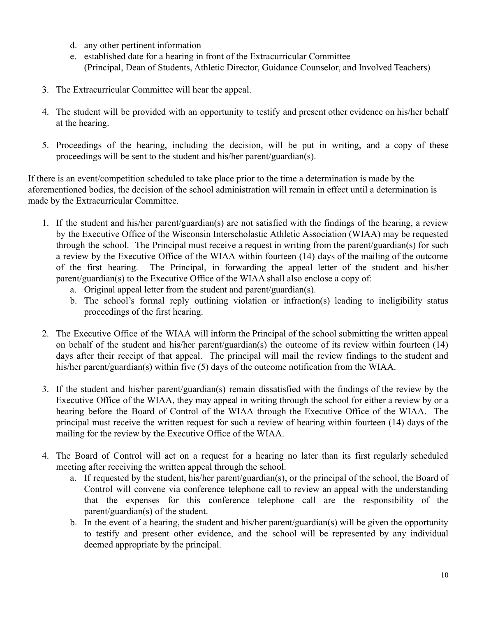- d. any other pertinent information
- e. established date for a hearing in front of the Extracurricular Committee (Principal, Dean of Students, Athletic Director, Guidance Counselor, and Involved Teachers)
- 3. The Extracurricular Committee will hear the appeal.
- 4. The student will be provided with an opportunity to testify and present other evidence on his/her behalf at the hearing.
- 5. Proceedings of the hearing, including the decision, will be put in writing, and a copy of these proceedings will be sent to the student and his/her parent/guardian(s).

If there is an event/competition scheduled to take place prior to the time a determination is made by the aforementioned bodies, the decision of the school administration will remain in effect until a determination is made by the Extracurricular Committee.

- 1. If the student and his/her parent/guardian(s) are not satisfied with the findings of the hearing, a review by the Executive Office of the Wisconsin Interscholastic Athletic Association (WIAA) may be requested through the school. The Principal must receive a request in writing from the parent/guardian(s) for such a review by the Executive Office of the WIAA within fourteen (14) days of the mailing of the outcome of the first hearing. The Principal, in forwarding the appeal letter of the student and his/her parent/guardian(s) to the Executive Office of the WIAA shall also enclose a copy of:
	- a. Original appeal letter from the student and parent/guardian(s).
	- b. The school's formal reply outlining violation or infraction(s) leading to ineligibility status proceedings of the first hearing.
- 2. The Executive Office of the WIAA will inform the Principal of the school submitting the written appeal on behalf of the student and his/her parent/guardian(s) the outcome of its review within fourteen (14) days after their receipt of that appeal. The principal will mail the review findings to the student and his/her parent/guardian(s) within five (5) days of the outcome notification from the WIAA.
- 3. If the student and his/her parent/guardian(s) remain dissatisfied with the findings of the review by the Executive Office of the WIAA, they may appeal in writing through the school for either a review by or a hearing before the Board of Control of the WIAA through the Executive Office of the WIAA. The principal must receive the written request for such a review of hearing within fourteen (14) days of the mailing for the review by the Executive Office of the WIAA.
- 4. The Board of Control will act on a request for a hearing no later than its first regularly scheduled meeting after receiving the written appeal through the school.
	- a. If requested by the student, his/her parent/guardian(s), or the principal of the school, the Board of Control will convene via conference telephone call to review an appeal with the understanding that the expenses for this conference telephone call are the responsibility of the parent/guardian(s) of the student.
	- b. In the event of a hearing, the student and his/her parent/guardian(s) will be given the opportunity to testify and present other evidence, and the school will be represented by any individual deemed appropriate by the principal.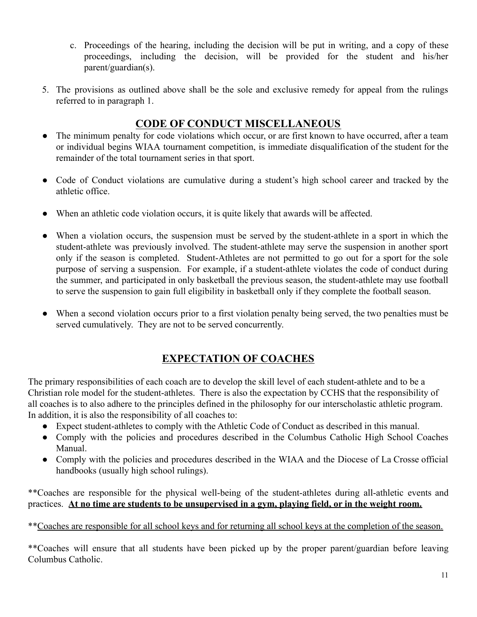- c. Proceedings of the hearing, including the decision will be put in writing, and a copy of these proceedings, including the decision, will be provided for the student and his/her parent/guardian(s).
- 5. The provisions as outlined above shall be the sole and exclusive remedy for appeal from the rulings referred to in paragraph 1.

# **CODE OF CONDUCT MISCELLANEOUS**

- The minimum penalty for code violations which occur, or are first known to have occurred, after a team or individual begins WIAA tournament competition, is immediate disqualification of the student for the remainder of the total tournament series in that sport.
- Code of Conduct violations are cumulative during a student's high school career and tracked by the athletic office.
- When an athletic code violation occurs, it is quite likely that awards will be affected.
- When a violation occurs, the suspension must be served by the student-athlete in a sport in which the student-athlete was previously involved. The student-athlete may serve the suspension in another sport only if the season is completed. Student-Athletes are not permitted to go out for a sport for the sole purpose of serving a suspension. For example, if a student-athlete violates the code of conduct during the summer, and participated in only basketball the previous season, the student-athlete may use football to serve the suspension to gain full eligibility in basketball only if they complete the football season.
- When a second violation occurs prior to a first violation penalty being served, the two penalties must be served cumulatively. They are not to be served concurrently.

# **EXPECTATION OF COACHES**

The primary responsibilities of each coach are to develop the skill level of each student-athlete and to be a Christian role model for the student-athletes. There is also the expectation by CCHS that the responsibility of all coaches is to also adhere to the principles defined in the philosophy for our interscholastic athletic program. In addition, it is also the responsibility of all coaches to:

- Expect student-athletes to comply with the Athletic Code of Conduct as described in this manual.
- Comply with the policies and procedures described in the Columbus Catholic High School Coaches Manual.
- Comply with the policies and procedures described in the WIAA and the Diocese of La Crosse official handbooks (usually high school rulings).

\*\*Coaches are responsible for the physical well-being of the student-athletes during all-athletic events and practices. **At no time are students to be unsupervised in a gym, playing field, or in the weight room.**

\*\*Coaches are responsible for all school keys and for returning all school keys at the completion of the season.

\*\*Coaches will ensure that all students have been picked up by the proper parent/guardian before leaving Columbus Catholic.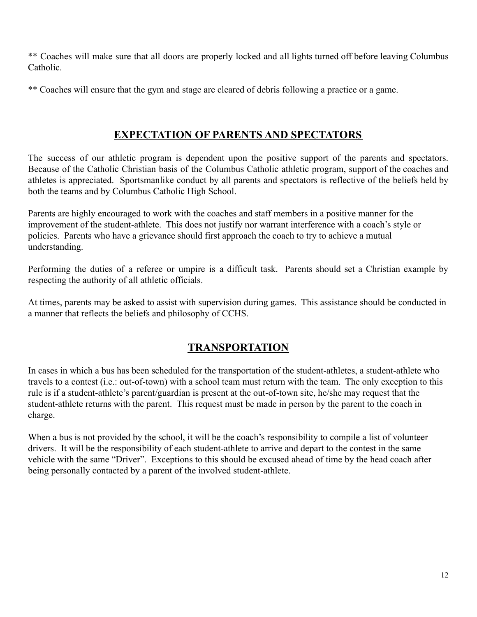\*\* Coaches will make sure that all doors are properly locked and all lights turned off before leaving Columbus Catholic.

\*\* Coaches will ensure that the gym and stage are cleared of debris following a practice or a game.

# **EXPECTATION OF PARENTS AND SPECTATORS**

The success of our athletic program is dependent upon the positive support of the parents and spectators. Because of the Catholic Christian basis of the Columbus Catholic athletic program, support of the coaches and athletes is appreciated. Sportsmanlike conduct by all parents and spectators is reflective of the beliefs held by both the teams and by Columbus Catholic High School.

Parents are highly encouraged to work with the coaches and staff members in a positive manner for the improvement of the student-athlete. This does not justify nor warrant interference with a coach's style or policies. Parents who have a grievance should first approach the coach to try to achieve a mutual understanding.

Performing the duties of a referee or umpire is a difficult task. Parents should set a Christian example by respecting the authority of all athletic officials.

At times, parents may be asked to assist with supervision during games. This assistance should be conducted in a manner that reflects the beliefs and philosophy of CCHS.

# **TRANSPORTATION**

In cases in which a bus has been scheduled for the transportation of the student-athletes, a student-athlete who travels to a contest (i.e.: out-of-town) with a school team must return with the team. The only exception to this rule is if a student-athlete's parent/guardian is present at the out-of-town site, he/she may request that the student-athlete returns with the parent. This request must be made in person by the parent to the coach in charge.

When a bus is not provided by the school, it will be the coach's responsibility to compile a list of volunteer drivers. It will be the responsibility of each student-athlete to arrive and depart to the contest in the same vehicle with the same "Driver". Exceptions to this should be excused ahead of time by the head coach after being personally contacted by a parent of the involved student-athlete.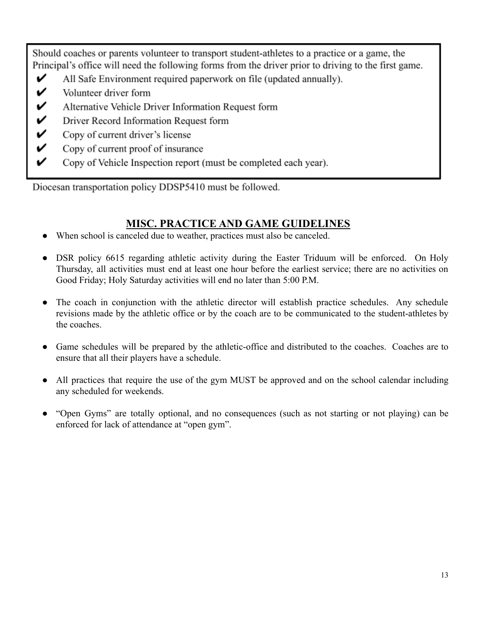Should coaches or parents volunteer to transport student-athletes to a practice or a game, the Principal's office will need the following forms from the driver prior to driving to the first game.

- V All Safe Environment required paperwork on file (updated annually).
- V Volunteer driver form
- V Alternative Vehicle Driver Information Request form
- V Driver Record Information Request form
- V Copy of current driver's license
- V Copy of current proof of insurance
- V Copy of Vehicle Inspection report (must be completed each year).

Diocesan transportation policy DDSP5410 must be followed.

## **MISC. PRACTICE AND GAME GUIDELINES**

- <span id="page-12-0"></span>When school is canceled due to weather, practices must also be canceled.
- DSR policy 6615 regarding athletic activity during the Easter Triduum will be enforced. On Holy Thursday, all activities must end at least one hour before the earliest service; there are no activities on Good Friday; Holy Saturday activities will end no later than 5:00 P.M.
- The coach in conjunction with the athletic director will establish practice schedules. Any schedule revisions made by the athletic office or by the coach are to be communicated to the student-athletes by the coaches.
- Game schedules will be prepared by the athletic-office and distributed to the coaches. Coaches are to ensure that all their players have a schedule.
- All practices that require the use of the gym MUST be approved and on the school calendar including any scheduled for weekends.
- "Open Gyms" are totally optional, and no consequences (such as not starting or not playing) can be enforced for lack of attendance at "open gym".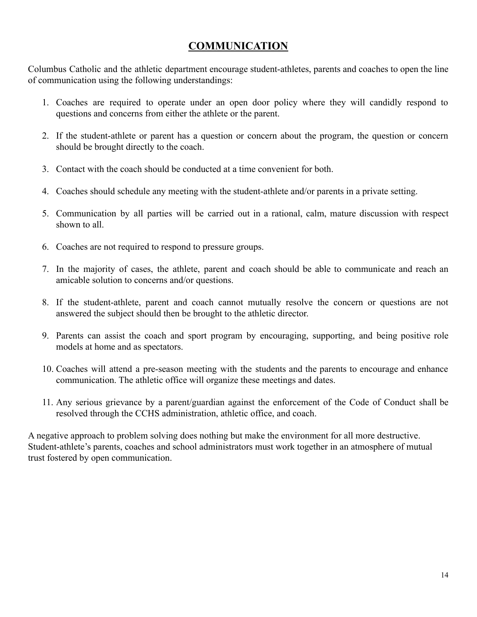## **COMMUNICATION**

<span id="page-13-0"></span>Columbus Catholic and the athletic department encourage student-athletes, parents and coaches to open the line of communication using the following understandings:

- 1. Coaches are required to operate under an open door policy where they will candidly respond to questions and concerns from either the athlete or the parent.
- 2. If the student-athlete or parent has a question or concern about the program, the question or concern should be brought directly to the coach.
- 3. Contact with the coach should be conducted at a time convenient for both.
- 4. Coaches should schedule any meeting with the student-athlete and/or parents in a private setting.
- 5. Communication by all parties will be carried out in a rational, calm, mature discussion with respect shown to all.
- 6. Coaches are not required to respond to pressure groups.
- 7. In the majority of cases, the athlete, parent and coach should be able to communicate and reach an amicable solution to concerns and/or questions.
- 8. If the student-athlete, parent and coach cannot mutually resolve the concern or questions are not answered the subject should then be brought to the athletic director.
- 9. Parents can assist the coach and sport program by encouraging, supporting, and being positive role models at home and as spectators.
- 10. Coaches will attend a pre-season meeting with the students and the parents to encourage and enhance communication. The athletic office will organize these meetings and dates.
- 11. Any serious grievance by a parent/guardian against the enforcement of the Code of Conduct shall be resolved through the CCHS administration, athletic office, and coach.

A negative approach to problem solving does nothing but make the environment for all more destructive. Student-athlete's parents, coaches and school administrators must work together in an atmosphere of mutual trust fostered by open communication.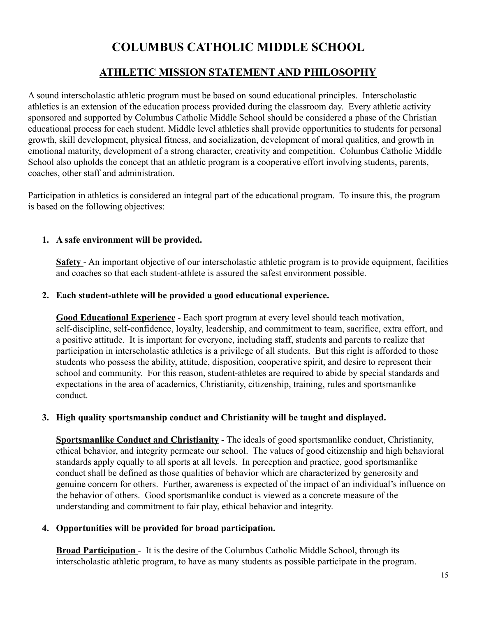# **COLUMBUS CATHOLIC MIDDLE SCHOOL**

# **ATHLETIC MISSION STATEMENT AND PHILOSOPHY**

<span id="page-14-0"></span>A sound interscholastic athletic program must be based on sound educational principles. Interscholastic athletics is an extension of the education process provided during the classroom day. Every athletic activity sponsored and supported by Columbus Catholic Middle School should be considered a phase of the Christian educational process for each student. Middle level athletics shall provide opportunities to students for personal growth, skill development, physical fitness, and socialization, development of moral qualities, and growth in emotional maturity, development of a strong character, creativity and competition. Columbus Catholic Middle School also upholds the concept that an athletic program is a cooperative effort involving students, parents, coaches, other staff and administration.

Participation in athletics is considered an integral part of the educational program. To insure this, the program is based on the following objectives:

#### **1. A safe environment will be provided.**

**Safety** - An important objective of our interscholastic athletic program is to provide equipment, facilities and coaches so that each student-athlete is assured the safest environment possible.

#### **2. Each student-athlete will be provided a good educational experience.**

**Good Educational Experience** - Each sport program at every level should teach motivation, self-discipline, self-confidence, loyalty, leadership, and commitment to team, sacrifice, extra effort, and a positive attitude. It is important for everyone, including staff, students and parents to realize that participation in interscholastic athletics is a privilege of all students. But this right is afforded to those students who possess the ability, attitude, disposition, cooperative spirit, and desire to represent their school and community. For this reason, student-athletes are required to abide by special standards and expectations in the area of academics, Christianity, citizenship, training, rules and sportsmanlike conduct.

#### **3. High quality sportsmanship conduct and Christianity will be taught and displayed.**

**Sportsmanlike Conduct and Christianity** - The ideals of good sportsmanlike conduct, Christianity, ethical behavior, and integrity permeate our school. The values of good citizenship and high behavioral standards apply equally to all sports at all levels. In perception and practice, good sportsmanlike conduct shall be defined as those qualities of behavior which are characterized by generosity and genuine concern for others. Further, awareness is expected of the impact of an individual's influence on the behavior of others. Good sportsmanlike conduct is viewed as a concrete measure of the understanding and commitment to fair play, ethical behavior and integrity.

#### **4. Opportunities will be provided for broad participation.**

**Broad Participation** - It is the desire of the Columbus Catholic Middle School, through its interscholastic athletic program, to have as many students as possible participate in the program.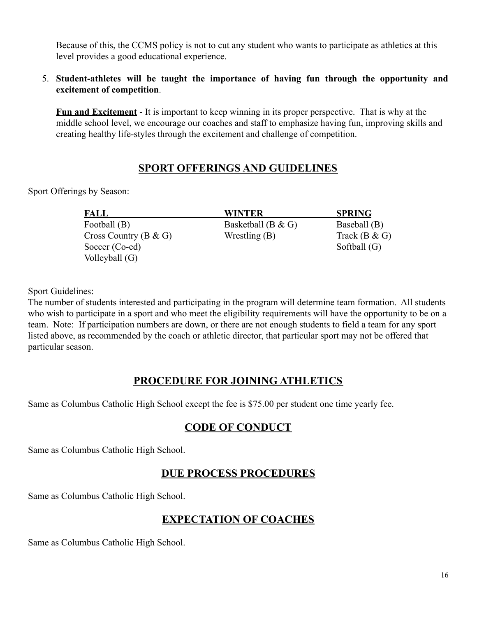Because of this, the CCMS policy is not to cut any student who wants to participate as athletics at this level provides a good educational experience.

#### 5. **Student-athletes will be taught the importance of having fun through the opportunity and excitement of competition**.

**Fun and Excitement** - It is important to keep winning in its proper perspective. That is why at the middle school level, we encourage our coaches and staff to emphasize having fun, improving skills and creating healthy life-styles through the excitement and challenge of competition.

# **SPORT OFFERINGS AND GUIDELINES**

Sport Offerings by Season:

**FALL WINTER SPRING** Football (B) Basketball (B & G) Baseball (B)  $Cross Country (B & G)$  Wrestling  $(B)$  Track  $(B & G)$ Soccer (Co-ed) Softball (G) Volleyball (G)

Sport Guidelines:

The number of students interested and participating in the program will determine team formation. All students who wish to participate in a sport and who meet the eligibility requirements will have the opportunity to be on a team. Note: If participation numbers are down, or there are not enough students to field a team for any sport listed above, as recommended by the coach or athletic director, that particular sport may not be offered that particular season.

# **PROCEDURE FOR JOINING ATHLETICS**

Same as Columbus Catholic High School except the fee is \$75.00 per student one time yearly fee.

# **CODE OF CONDUCT**

Same as Columbus Catholic High School.

# **DUE PROCESS PROCEDURES**

Same as Columbus Catholic High School.

# **EXPECTATION OF COACHES**

Same as Columbus Catholic High School.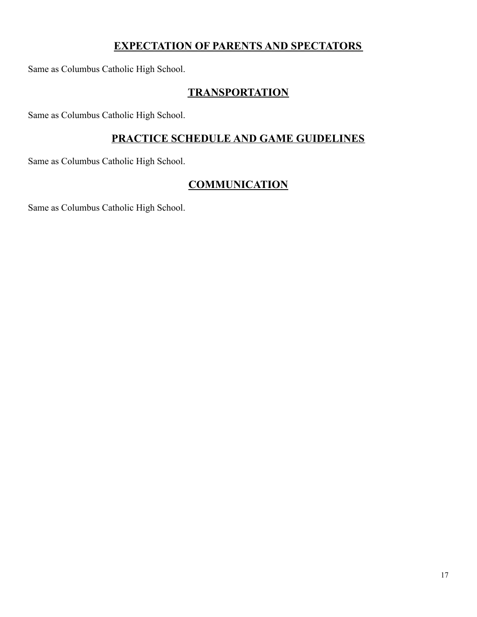# **EXPECTATION OF PARENTS AND SPECTATORS**

Same as Columbus Catholic High School.

# **TRANSPORTATION**

Same as Columbus Catholic High School.

# **PRACTICE SCHEDULE AND GAME GUIDELINES**

Same as Columbus Catholic High School.

# **COMMUNICATION**

Same as Columbus Catholic High School.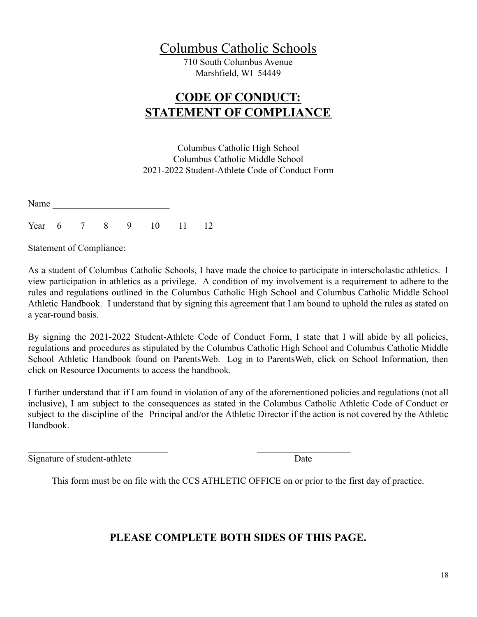# Columbus Catholic Schools

710 South Columbus Avenue Marshfield, WI 54449

# **CODE OF CONDUCT: STATEMENT OF COMPLIANCE**

Columbus Catholic High School Columbus Catholic Middle School 2021-2022 Student-Athlete Code of Conduct Form

<span id="page-17-0"></span>Name

Year 6 7 8 9 10 11 12

Statement of Compliance:

As a student of Columbus Catholic Schools, I have made the choice to participate in interscholastic athletics. I view participation in athletics as a privilege. A condition of my involvement is a requirement to adhere to the rules and regulations outlined in the Columbus Catholic High School and Columbus Catholic Middle School Athletic Handbook. I understand that by signing this agreement that I am bound to uphold the rules as stated on a year-round basis.

By signing the 2021-2022 Student-Athlete Code of Conduct Form, I state that I will abide by all policies, regulations and procedures as stipulated by the Columbus Catholic High School and Columbus Catholic Middle School Athletic Handbook found on ParentsWeb. Log in to ParentsWeb, click on School Information, then click on Resource Documents to access the handbook.

I further understand that if I am found in violation of any of the aforementioned policies and regulations (not all inclusive), I am subject to the consequences as stated in the Columbus Catholic Athletic Code of Conduct or subject to the discipline of the Principal and/or the Athletic Director if the action is not covered by the Athletic Handbook.

Signature of student-athlete Date

This form must be on file with the CCS ATHLETIC OFFICE on or prior to the first day of practice.

 $\mathcal{L}_\text{max}$  , and the contract of the contract of the contract of the contract of the contract of the contract of

# **PLEASE COMPLETE BOTH SIDES OF THIS PAGE.**